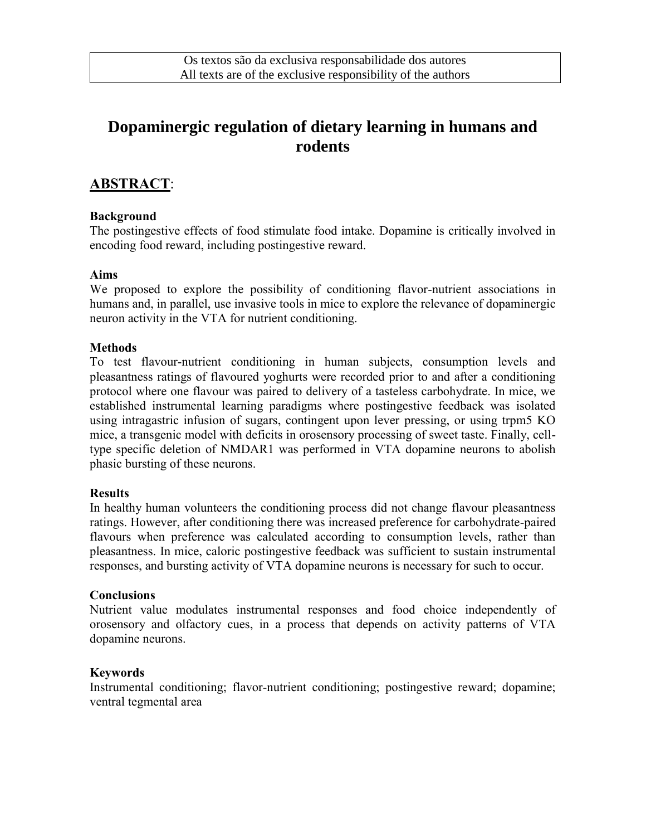# **Dopaminergic regulation of dietary learning in humans and rodents**

### **ABSTRACT**:

#### **Background**

The postingestive effects of food stimulate food intake. Dopamine is critically involved in encoding food reward, including postingestive reward.

#### **Aims**

We proposed to explore the possibility of conditioning flavor-nutrient associations in humans and, in parallel, use invasive tools in mice to explore the relevance of dopaminergic neuron activity in the VTA for nutrient conditioning.

#### **Methods**

To test flavour-nutrient conditioning in human subjects, consumption levels and pleasantness ratings of flavoured yoghurts were recorded prior to and after a conditioning protocol where one flavour was paired to delivery of a tasteless carbohydrate. In mice, we established instrumental learning paradigms where postingestive feedback was isolated using intragastric infusion of sugars, contingent upon lever pressing, or using trpm5 KO mice, a transgenic model with deficits in orosensory processing of sweet taste. Finally, celltype specific deletion of NMDAR1 was performed in VTA dopamine neurons to abolish phasic bursting of these neurons.

#### **Results**

In healthy human volunteers the conditioning process did not change flavour pleasantness ratings. However, after conditioning there was increased preference for carbohydrate-paired flavours when preference was calculated according to consumption levels, rather than pleasantness. In mice, caloric postingestive feedback was sufficient to sustain instrumental responses, and bursting activity of VTA dopamine neurons is necessary for such to occur.

#### **Conclusions**

Nutrient value modulates instrumental responses and food choice independently of orosensory and olfactory cues, in a process that depends on activity patterns of VTA dopamine neurons.

#### **Keywords**

Instrumental conditioning; flavor-nutrient conditioning; postingestive reward; dopamine; ventral tegmental area